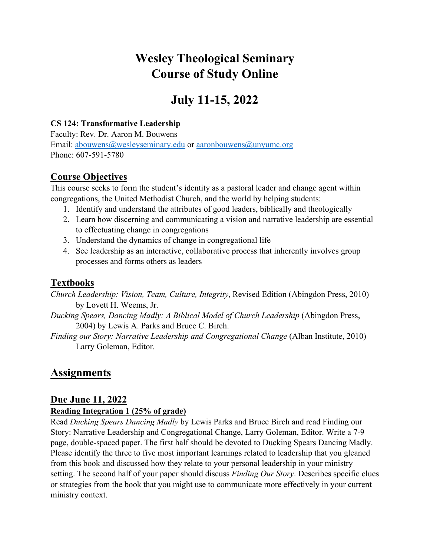# **Wesley Theological Seminary Course of Study Online**

# **July 11-15, 2022**

#### **CS 124: Transformative Leadership**

Faculty: Rev. Dr. Aaron M. Bouwens Email: abouwens@wesleyseminary.edu or aaronbouwens@unyumc.org Phone: 607-591-5780

### **Course Objectives**

This course seeks to form the student's identity as a pastoral leader and change agent within congregations, the United Methodist Church, and the world by helping students:

- 1. Identify and understand the attributes of good leaders, biblically and theologically
- 2. Learn how discerning and communicating a vision and narrative leadership are essential to effectuating change in congregations
- 3. Understand the dynamics of change in congregational life
- 4. See leadership as an interactive, collaborative process that inherently involves group processes and forms others as leaders

## **Textbooks**

*Church Leadership: Vision, Team, Culture, Integrity*, Revised Edition (Abingdon Press, 2010) by Lovett H. Weems, Jr.

*Ducking Spears, Dancing Madly: A Biblical Model of Church Leadership (Abingdon Press,* 2004) by Lewis A. Parks and Bruce C. Birch.

*Finding our Story: Narrative Leadership and Congregational Change* (Alban Institute, 2010) Larry Goleman, Editor.

# **Assignments**

### **Due June 11, 2022**

#### **Reading Integration 1 (25% of grade)**

Read *Ducking Spears Dancing Madly* by Lewis Parks and Bruce Birch and read Finding our Story: Narrative Leadership and Congregational Change, Larry Goleman, Editor. Write a 7-9 page, double-spaced paper. The first half should be devoted to Ducking Spears Dancing Madly. Please identify the three to five most important learnings related to leadership that you gleaned from this book and discussed how they relate to your personal leadership in your ministry setting. The second half of your paper should discuss *Finding Our Story*. Describes specific clues or strategies from the book that you might use to communicate more effectively in your current ministry context.